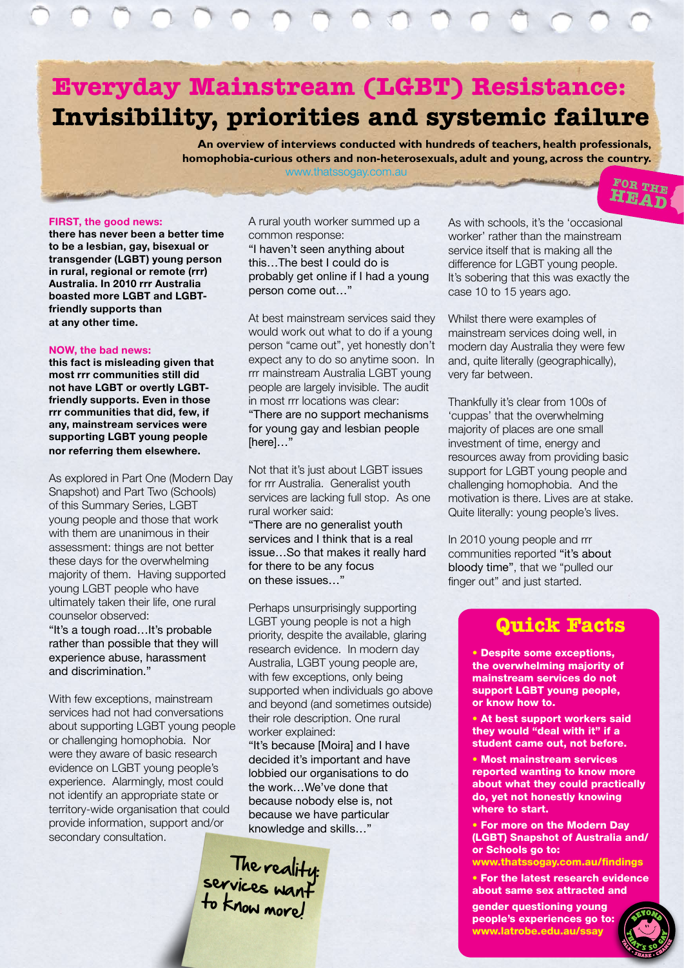### **Everyday Mainstream (LGBT) Resistance: Invisibility, priorities and systemic failure**

**An overview of interviews conducted with hundreds of teachers, health professionals, homophobia-curious others and non-heterosexuals, adult and young, across the country.** www.thatssogay.com.au

#### FIRST, the good news:

there has never been a better time to be a lesbian, gay, bisexual or transgender (LGBT) young person in rural, regional or remote (rrr) Australia. In 2010 rrr Australia boasted more LGBT and LGBTfriendly supports than at any other time.

#### NOW, the bad news:

this fact is misleading given that most rrr communities still did not have LGBT or overtly LGBTfriendly supports. Even in those rrr communities that did, few, if any, mainstream services were supporting LGBT young people nor referring them elsewhere.

As explored in Part One (Modern Day Snapshot) and Part Two (Schools) of this Summary Series, LGBT young people and those that work with them are unanimous in their assessment: things are not better these days for the overwhelming majority of them. Having supported young LGBT people who have ultimately taken their life, one rural counselor observed: "It's a tough road…It's probable rather than possible that they will experience abuse, harassment

and discrimination."

With few exceptions, mainstream services had not had conversations about supporting LGBT young people or challenging homophobia. Nor were they aware of basic research evidence on LGBT young people's experience. Alarmingly, most could not identify an appropriate state or territory-wide organisation that could provide information, support and/or secondary consultation.

A rural youth worker summed up a common response: "I haven't seen anything about

this…The best I could do is probably get online if I had a young person come out…"

At best mainstream services said they would work out what to do if a young person "came out", yet honestly don't expect any to do so anytime soon. In rrr mainstream Australia LGBT young people are largely invisible. The audit in most rrr locations was clear: "There are no support mechanisms for young gay and lesbian people [here]…"

Not that it's just about LGBT issues for rrr Australia. Generalist youth services are lacking full stop. As one rural worker said:

"There are no generalist youth services and I think that is a real issue…So that makes it really hard for there to be any focus on these issues…"

Perhaps unsurprisingly supporting LGBT young people is not a high priority, despite the available, glaring research evidence. In modern day Australia, LGBT young people are, with few exceptions, only being supported when individuals go above and beyond (and sometimes outside) their role description. One rural worker explained:

"It's because [Moira] and I have decided it's important and have lobbied our organisations to do the work…We've done that because nobody else is, not because we have particular knowledge and skills…"



As with schools, it's the 'occasional worker' rather than the mainstream service itself that is making all the difference for LGBT young people. It's sobering that this was exactly the case 10 to 15 years ago.

FOR THE HEAD

Whilst there were examples of mainstream services doing well, in modern day Australia they were few and, quite literally (geographically), very far between.

Thankfully it's clear from 100s of 'cuppas' that the overwhelming majority of places are one small investment of time, energy and resources away from providing basic support for LGBT young people and challenging homophobia. And the motivation is there. Lives are at stake. Quite literally: young people's lives.

In 2010 young people and rrr communities reported "it's about bloody time", that we "pulled our finger out" and just started.

### **Quick Facts**

• Despite some exceptions, the overwhelming majority of mainstream services do not support LGBT young people, or know how to.

• At best support workers said they would "deal with it" if a student came out, not before.

• Most mainstream services reported wanting to know more about what they could practically do, yet not honestly knowing where to start.

• For more on the Modern Day (LGBT) Snapshot of Australia and/ or Schools go to: www.thatssogay.com.au/findings

• For the latest research evidence about same sex attracted and

gender questioning young people's experiences go to: www.latrobe.edu.au/ssay

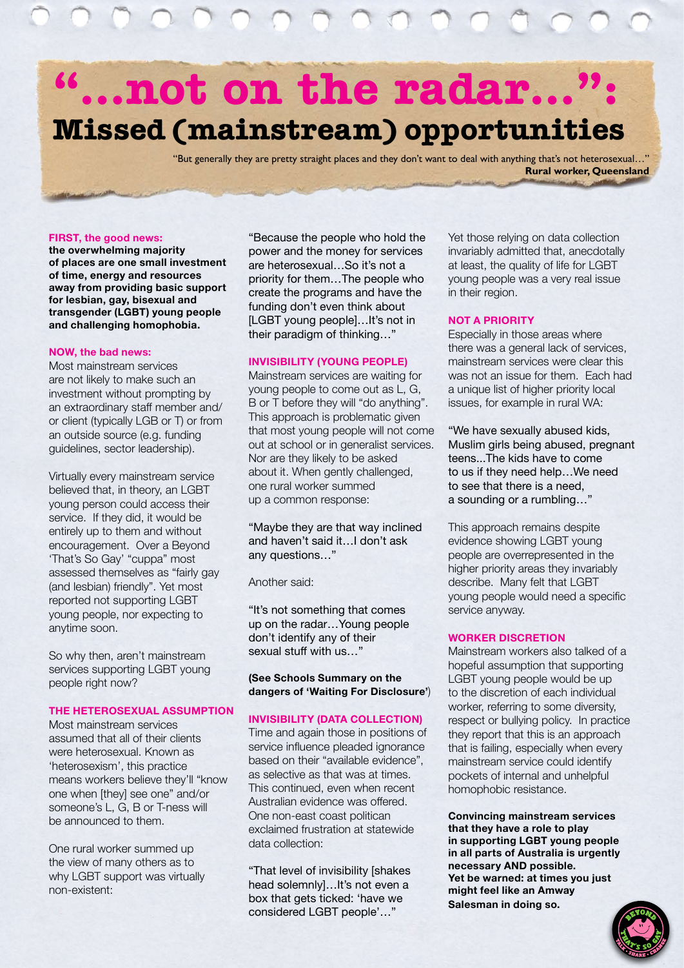# **"…not on the radar…": Missed (mainstream) opportunities**

"But generally they are pretty straight places and they don't want to deal with anything that's not heterosexual…" **Rural worker, Queensland**

#### FIRST, the good news:

the overwhelming majority of places are one small investment of time, energy and resources away from providing basic support for lesbian, gay, bisexual and transgender (LGBT) young people and challenging homophobia.

#### NOW, the bad news:

Most mainstream services are not likely to make such an investment without prompting by an extraordinary staff member and/ or client (typically LGB or T) or from an outside source (e.g. funding guidelines, sector leadership).

Virtually every mainstream service believed that, in theory, an LGBT young person could access their service. If they did, it would be entirely up to them and without encouragement. Over a Beyond 'That's So Gay' "cuppa" most assessed themselves as "fairly gay (and lesbian) friendly". Yet most reported not supporting LGBT young people, nor expecting to anytime soon.

So why then, aren't mainstream services supporting LGBT young people right now?

#### THE HETEROSEXUAL ASSUMPTION

Most mainstream services assumed that all of their clients were heterosexual. Known as 'heterosexism', this practice means workers believe they'll "know one when [they] see one" and/or someone's L, G, B or T-ness will be announced to them.

One rural worker summed up the view of many others as to why LGBT support was virtually non-existent:

"Because the people who hold the power and the money for services are heterosexual…So it's not a priority for them…The people who create the programs and have the funding don't even think about [LGBT young people]...It's not in their paradigm of thinking…"

#### INVISIBILITY (YOUNG PEOPLE)

Mainstream services are waiting for young people to come out as L, G, B or T before they will "do anything". This approach is problematic given that most young people will not come out at school or in generalist services. Nor are they likely to be asked about it. When gently challenged, one rural worker summed up a common response:

"Maybe they are that way inclined and haven't said it…I don't ask any questions…"

Another said:

"It's not something that comes up on the radar…Young people don't identify any of their sexual stuff with us…"

(See Schools Summary on the dangers of 'Waiting For Disclosure')

#### INVISIBILITY (DATA COLLECTION)

Time and again those in positions of service influence pleaded ignorance based on their "available evidence", as selective as that was at times. This continued, even when recent Australian evidence was offered. One non-east coast politican exclaimed frustration at statewide data collection:

"That level of invisibility [shakes head solemnly]...It's not even a box that gets ticked: 'have we considered LGBT people'…"

Yet those relying on data collection invariably admitted that, anecdotally at least, the quality of life for LGBT young people was a very real issue in their region.

#### NOT A PRIORITY

Especially in those areas where there was a general lack of services, mainstream services were clear this was not an issue for them. Each had a unique list of higher priority local issues, for example in rural WA:

"We have sexually abused kids, Muslim girls being abused, pregnant teens...The kids have to come to us if they need help…We need to see that there is a need, a sounding or a rumbling…"

This approach remains despite evidence showing LGBT young people are overrepresented in the higher priority areas they invariably describe. Many felt that LGBT young people would need a specific service anyway.

#### WORKER DISCRETION

Mainstream workers also talked of a hopeful assumption that supporting LGBT young people would be up to the discretion of each individual worker, referring to some diversity, respect or bullying policy. In practice they report that this is an approach that is failing, especially when every mainstream service could identify pockets of internal and unhelpful homophobic resistance.

Convincing mainstream services that they have a role to play in supporting LGBT young people in all parts of Australia is urgently necessary AND possible. Yet be warned: at times you just might feel like an Amway Salesman in doing so.